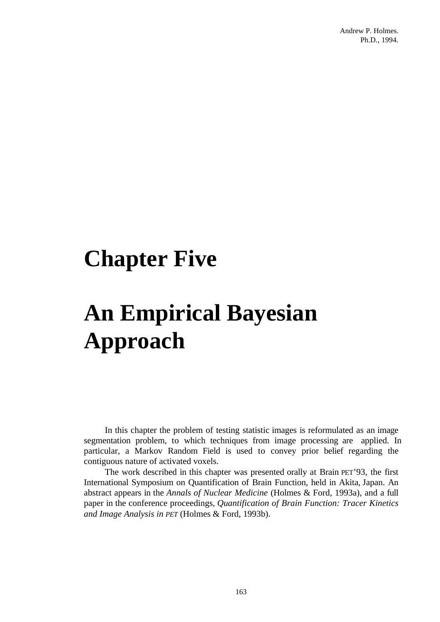## **Chapter Five**

# **An Empirical Bayesian Approach**

In this chapter the problem of testing statistic images is reformulated as an image segmentation problem, to which techniques from image processing are applied. In particular, a Markov Random Field is used to convey prior belief regarding the contiguous nature of activated voxels.

The work described in this chapter was presented orally at Brain PET'93, the first International Symposium on Quantification of Brain Function, held in Akita, Japan. An abstract appears in the *Annals of Nuclear Medicine* (Holmes & Ford, 1993a), and a full paper in the conference proceedings, *Quantification of Brain Function: Tracer Kinetics and Image Analysis in PET* (Holmes & Ford, 1993b).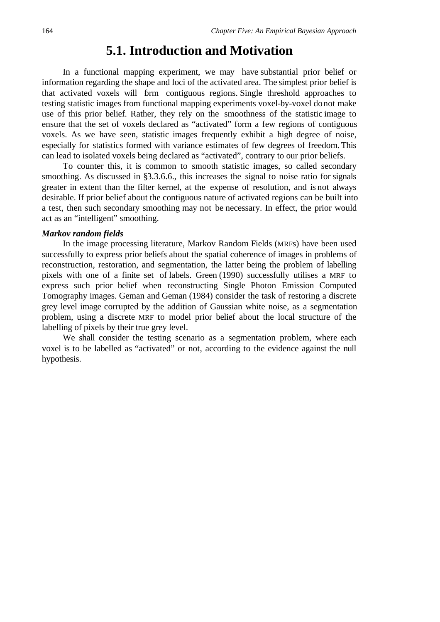## **5.1. Introduction and Motivation**

In a functional mapping experiment, we may have substantial prior belief or information regarding the shape and loci of the activated area. The simplest prior belief is that activated voxels will form contiguous regions. Single threshold approaches to testing statistic images from functional mapping experiments voxel-by-voxel do not make use of this prior belief. Rather, they rely on the smoothness of the statistic image to ensure that the set of voxels declared as "activated" form a few regions of contiguous voxels. As we have seen, statistic images frequently exhibit a high degree of noise, especially for statistics formed with variance estimates of few degrees of freedom. This can lead to isolated voxels being declared as "activated", contrary to our prior beliefs.

To counter this, it is common to smooth statistic images, so called secondary smoothing. As discussed in §3.3.6.6., this increases the signal to noise ratio for signals greater in extent than the filter kernel, at the expense of resolution, and is not always desirable. If prior belief about the contiguous nature of activated regions can be built into a test, then such secondary smoothing may not be necessary. In effect, the prior would act as an "intelligent" smoothing.

#### *Markov random fields*

In the image processing literature, Markov Random Fields (MRFs) have been used successfully to express prior beliefs about the spatial coherence of images in problems of reconstruction, restoration, and segmentation, the latter being the problem of labelling pixels with one of a finite set of labels. Green (1990) successfully utilises a MRF to express such prior belief when reconstructing Single Photon Emission Computed Tomography images. Geman and Geman (1984) consider the task of restoring a discrete grey level image corrupted by the addition of Gaussian white noise, as a segmentation problem, using a discrete MRF to model prior belief about the local structure of the labelling of pixels by their true grey level.

We shall consider the testing scenario as a segmentation problem, where each voxel is to be labelled as "activated" or not, according to the evidence against the null hypothesis.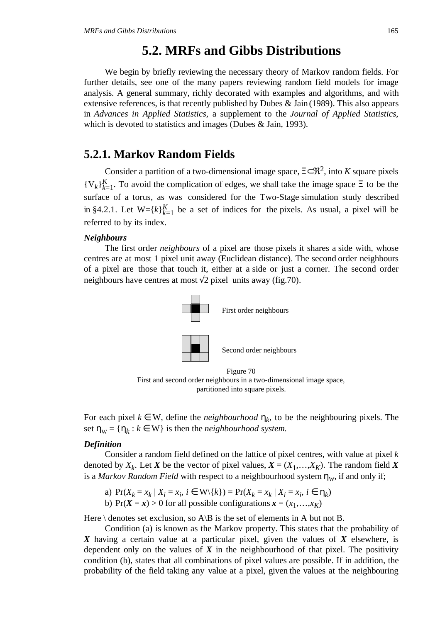## **5.2. MRFs and Gibbs Distributions**

We begin by briefly reviewing the necessary theory of Markov random fields. For further details, see one of the many papers reviewing random field models for image analysis. A general summary, richly decorated with examples and algorithms, and with extensive references, is that recently published by Dubes & Jain (1989). This also appears in *Advances in Applied Statistics*, a supplement to the *Journal of Applied Statistics*, which is devoted to statistics and images (Dubes & Jain, 1993).

## **5.2.1. Markov Random Fields**

Consider a partition of a two-dimensional image space,  $\Xi \subset \mathbb{R}^2$ , into *K* square pixels  ${V_k}_{k=1}^K$ . To avoid the complication of edges, we shall take the image space  $\Xi$  to be the surface of a torus, as was considered for the Two-Stage simulation study described in §4.2.1. Let  $W = \{k\}_{k=1}^K$  be a set of indices for the pixels. As usual, a pixel will be referred to by its index.

## *Neighbours*

The first order *neighbours* of a pixel are those pixels it shares a side with, whose centres are at most 1 pixel unit away (Euclidean distance). The second order neighbours of a pixel are those that touch it, either at a side or just a corner. The second order neighbours have centres at most  $\sqrt{2}$  pixel units away (fig.70).



First and second order neighbours in a two-dimensional image space, partitioned into square pixels.

For each pixel  $k \in W$ , define the *neighbourhood*  $\eta_k$ , to be the neighbouring pixels. The set  $\eta_w = {\eta_k : k \in W}$  is then the *neighbourhood system*.

## *Definition*

Consider a random field defined on the lattice of pixel centres, with value at pixel *k* denoted by  $X_k$ . Let *X* be the vector of pixel values,  $X = (X_1, \ldots, X_K)$ . The random field *X* is a *Markov Random Field* with respect to a neighbourhood system  $\eta_w$ , if and only if;

a)  $Pr(X_k = x_k | X_i = x_i, i \in W \setminus \{k\}) = Pr(X_k = x_k | X_i = x_i, i \in \eta_k)$ 

b) Pr( $X = x$ ) > 0 for all possible configurations  $x = (x_1, \ldots, x_K)$ 

Here  $\setminus$  denotes set exclusion, so A $\setminus$ B is the set of elements in A but not B.

Condition (a) is known as the Markov property. This states that the probability of *X* having a certain value at a particular pixel, given the values of *X* elsewhere, is dependent only on the values of  $X$  in the neighbourhood of that pixel. The positivity condition (b), states that all combinations of pixel values are possible. If in addition, the probability of the field taking any value at a pixel, given the values at the neighbouring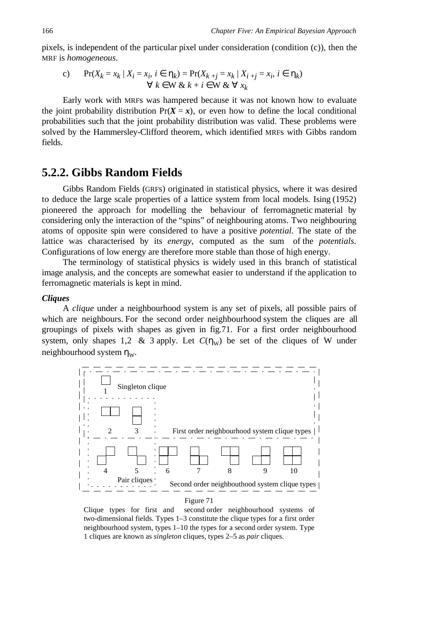pixels, is independent of the particular pixel under consideration (condition (c)), then the MRF is *homogeneous*.

c) 
$$
\Pr(X_k = x_k | X_i = x_i, i \in \eta_k) = \Pr(X_{k+j} = x_k | X_{i+j} = x_i, i \in \eta_k)
$$

$$
\forall k \in W \& k + i \in W \& \forall x_k
$$

Early work with MRFs was hampered because it was not known how to evaluate the joint probability distribution  $Pr(X = x)$ , or even how to define the local conditional probabilities such that the joint probability distribution was valid. These problems were solved by the Hammersley-Clifford theorem, which identified MRFs with Gibbs random fields.

## **5.2.2. Gibbs Random Fields**

Gibbs Random Fields (GRFs) originated in statistical physics, where it was desired to deduce the large scale properties of a lattice system from local models. Ising (1952) pioneered the approach for modelling the behaviour of ferromagnetic material by considering only the interaction of the "spins" of neighbouring atoms. Two neighbouring atoms of opposite spin were considered to have a positive *potential*. The state of the lattice was characterised by its *energy*, computed as the sum of the *potentials*. Configurations of low energy are therefore more stable than those of high energy.

The terminology of statistical physics is widely used in this branch of statistical image analysis, and the concepts are somewhat easier to understand if the application to ferromagnetic materials is kept in mind.

## *Cliques*

A *clique* under a neighbourhood system is any set of pixels, all possible pairs of which are neighbours. For the second order neighbourhood system the cliques are all groupings of pixels with shapes as given in fig.71. For a first order neighbourhood system, only shapes 1,2 & 3 apply. Let  $C(\eta_w)$  be set of the cliques of W under neighbourhood system  $\eta_w$ .



#### Figure 71

Clique types for first and second order neighbourhood systems of two-dimensional fields. Types 1–3 constitute the clique types for a first order neighbourhood system, types 1–10 the types for a second order system. Type 1 cliques are known as *singleton* cliques, types 2–5 as *pair* cliques.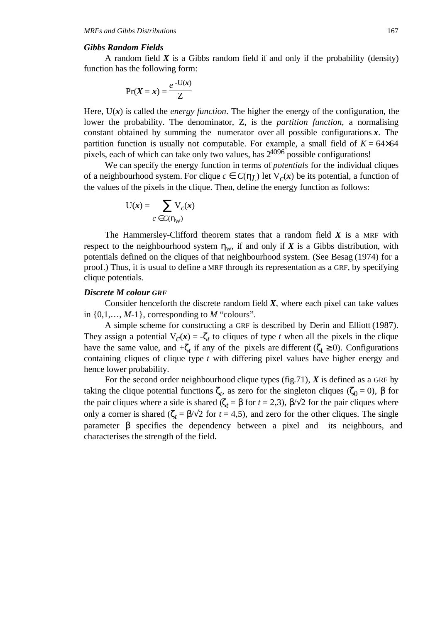#### *Gibbs Random Fields*

A random field *X* is a Gibbs random field if and only if the probability (density) function has the following form:

$$
\Pr(X = x) = \frac{e^{-U(x)}}{Z}
$$

Here,  $U(x)$  is called the *energy function*. The higher the energy of the configuration, the lower the probability. The denominator, Z, is the *partition function*, a normalising constant obtained by summing the numerator over all possible configurations *x*. The partition function is usually not computable. For example, a small field of  $K = 64 \times 64$ pixels, each of which can take only two values, has  $2^{4096}$  possible configurations!

We can specify the energy function in terms of *potentials* for the individual cliques of a neighbourhood system. For clique  $c \in C(\eta_I)$  let  $V_c(\mathbf{x})$  be its potential, a function of the values of the pixels in the clique. Then, define the energy function as follows:

$$
U(x) = \sum_{c \in C(\eta_W)} V_c(x)
$$

The Hammersley-Clifford theorem states that a random field *X* is a MRF with respect to the neighbourhood system  $\eta_w$ , if and only if *X* is a Gibbs distribution, with potentials defined on the cliques of that neighbourhood system. (See Besag (1974) for a proof.) Thus, it is usual to define a MRF through its representation as a GRF, by specifying clique potentials.

#### *Discrete M colour GRF*

Consider henceforth the discrete random field  $X$ , where each pixel can take values in  $\{0,1,\ldots,M-1\}$ , corresponding to M "colours".

A simple scheme for constructing a GRF is described by Derin and Elliott (1987). They assign a potential  $V_c(x) = -\zeta_t$  to cliques of type *t* when all the pixels in the clique have the same value, and  $\mathcal{L}_t$  if any of the pixels are different ( $\zeta_t \ge 0$ ). Configurations containing cliques of clique type *t* with differing pixel values have higher energy and hence lower probability.

For the second order neighbourhood clique types (fig.71), *X* is defined as a GRF by taking the clique potential functions  $\zeta_t$ , as zero for the singleton cliques ( $\zeta_0 = 0$ ),  $\beta$  for the pair cliques where a side is shared ( $\zeta_t = \beta$  for  $t = 2,3$ ),  $\beta/\sqrt{2}$  for the pair cliques where only a corner is shared ( $\zeta_t = \frac{\beta}{\sqrt{2}}$  for  $t = 4.5$ ), and zero for the other cliques. The single parameter β specifies the dependency between a pixel and its neighbours, and characterises the strength of the field.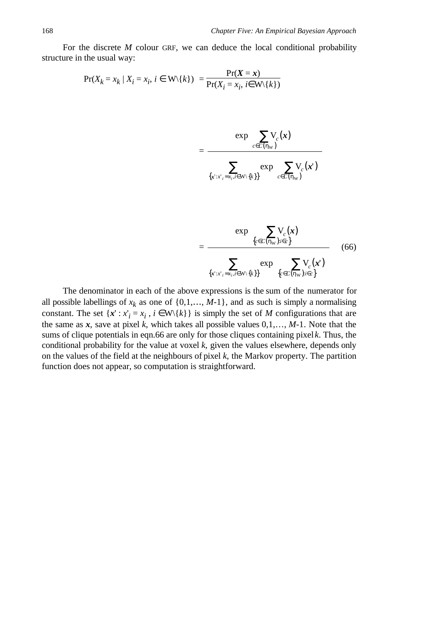For the discrete *M* colour GRF, we can deduce the local conditional probability structure in the usual way:

$$
Pr(X_k = x_k | X_i = x_i, i \in W \setminus \{k\}) = \frac{Pr(X = x)}{Pr(X_i = x_i, i \in W \setminus \{k\})}
$$

$$
= \frac{\exp\left(\sum_{c \in C(\eta_{\mathbf{W}})} V_c(\mathbf{x})\right)}{\sum_{\{x': x'_i = x_i, i \in \mathbf{W} \setminus \{k\}\}} \exp\left(\sum_{c \in C(\eta_{\mathbf{W}})} V_c(\mathbf{x}^{\prime})\right)}
$$

$$
= \frac{\exp\left(\sum_{\{c \in C(\eta_w): i \in c\}} V_c(x)\right)}{\sum_{\{x': x'_i = x_i, i \in W\}} \exp\left(\sum_{\{c \in C(\eta_w): i \in c\}} V_c(x')\right)}
$$
(66)

The denominator in each of the above expressions is the sum of the numerator for all possible labellings of  $x_k$  as one of  $\{0,1,\ldots,M-1\}$ , and as such is simply a normalising constant. The set  $\{x': x'_i = x_i, i \in W\{k\}\}\$ is simply the set of *M* configurations that are the same as  $x$ , save at pixel  $k$ , which takes all possible values  $0,1,..., M-1$ . Note that the sums of clique potentials in eqn.66 are only for those cliques containing pixel *k*. Thus, the conditional probability for the value at voxel *k*, given the values elsewhere, depends only on the values of the field at the neighbours of pixel *k*, the Markov property. The partition function does not appear, so computation is straightforward.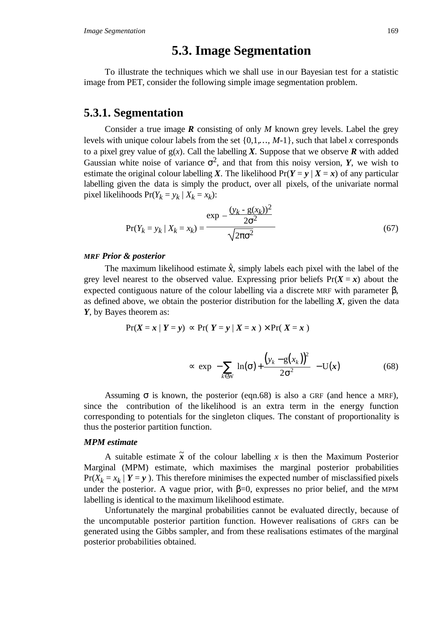## **5.3. Image Segmentation**

To illustrate the techniques which we shall use in our Bayesian test for a statistic image from PET, consider the following simple image segmentation problem.

## **5.3.1. Segmentation**

Consider a true image *R* consisting of only *M* known grey levels. Label the grey levels with unique colour labels from the set {0,1,…, *M*-1}, such that label *x* corresponds to a pixel grey value of  $g(x)$ . Call the labelling *X*. Suppose that we observe **R** with added Gaussian white noise of variance  $\sigma^2$ , and that from this noisy version, *Y*, we wish to estimate the original colour labelling *X*. The likelihood  $Pr(Y = y | X = x)$  of any particular labelling given the data is simply the product, over all pixels, of the univariate normal pixel likelihoods  $Pr(Y_k = y_k | X_k = x_k)$ :

$$
Pr(Y_k = y_k | X_k = x_k) = \frac{\exp\left(-\frac{(y_k - g(x_k))^2}{2\sigma^2}\right)}{\sqrt{2\pi\sigma^2}}
$$
(67)

#### *MRF Prior & posterior*

The maximum likelihood estimate  $\hat{x}$ , simply labels each pixel with the label of the grey level nearest to the observed value. Expressing prior beliefs  $Pr(X = x)$  about the expected contiguous nature of the colour labelling via a discrete MRF with parameter  $β$ , as defined above, we obtain the posterior distribution for the labelling *X*, given the data *Y*, by Bayes theorem as:

$$
Pr(X = x | Y = y) \sim Pr(Y = y | X = x) \times Pr(X = x)
$$

$$
\propto \exp\left(-\sum_{k\in\mathbb{W}}\left[\ln(\sigma) + \frac{\left(y_k - g(x_k)\right)^2}{2\sigma^2}\right] - U(x)\right) \tag{68}
$$

Assuming  $\sigma$  is known, the posterior (eqn.68) is also a GRF (and hence a MRF), since the contribution of the likelihood is an extra term in the energy function corresponding to potentials for the singleton cliques. The constant of proportionality is thus the posterior partition function.

## *MPM estimate*

A suitable estimate  $\tilde{x}$  of the colour labelling x is then the Maximum Posterior Marginal (MPM) estimate, which maximises the marginal posterior probabilities  $Pr(X_k = x_k | Y = y)$ . This therefore minimises the expected number of misclassified pixels under the posterior. A vague prior, with  $\beta=0$ , expresses no prior belief, and the MPM labelling is identical to the maximum likelihood estimate.

Unfortunately the marginal probabilities cannot be evaluated directly, because of the uncomputable posterior partition function. However realisations of GRFs can be generated using the Gibbs sampler, and from these realisations estimates of the marginal posterior probabilities obtained.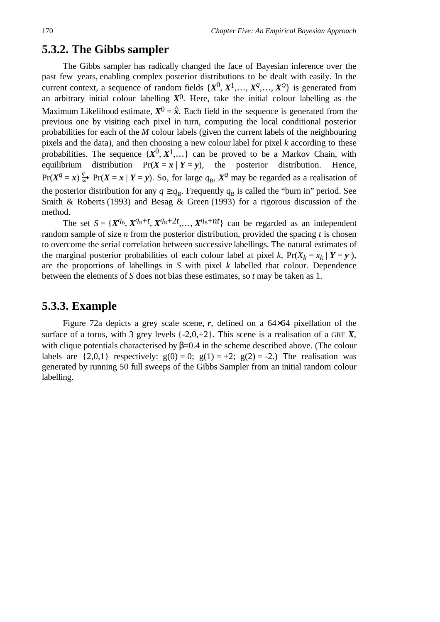## **5.3.2. The Gibbs sampler**

The Gibbs sampler has radically changed the face of Bayesian inference over the past few years, enabling complex posterior distributions to be dealt with easily. In the current context, a sequence of random fields  $\{X^0, X^1, \ldots, X^q, \ldots, X^q\}$  is generated from an arbitrary initial colour labelling  $X^0$ . Here, take the initial colour labelling as the Maximum Likelihood estimate,  $X^0 = \hat{x}$ . Each field in the sequence is generated from the previous one by visiting each pixel in turn, computing the local conditional posterior probabilities for each of the *M* colour labels (given the current labels of the neighbouring pixels and the data), and then choosing a new colour label for pixel *k* according to these probabilities. The sequence  $\{X^0, X^1, \ldots\}$  can be proved to be a Markov Chain, with equilibrium distribution  $Pr(X = x | Y = y)$ , the posterior distribution. Hence,  $Pr(X^q = x) \stackrel{q}{\Rightarrow} Pr(X = x | Y = y)$ . So, for large  $q_B$ ,  $X^q$  may be regarded as a realisation of the posterior distribution for any  $q \geq q_B$ . Frequently  $q_B$  is called the "burn in" period. See Smith & Roberts (1993) and Besag & Green (1993) for a rigorous discussion of the method.

The set  $S = \{X^{q_B}, X^{q_B+t}, X^{q_B+2t}, \ldots, X^{q_B+nt}\}\)$  can be regarded as an independent random sample of size *n* from the posterior distribution, provided the spacing *t* is chosen to overcome the serial correlation between successive labellings. The natural estimates of the marginal posterior probabilities of each colour label at pixel *k*,  $Pr(X_k = x_k | Y = y)$ , are the proportions of labellings in *S* with pixel *k* labelled that colour. Dependence between the elements of *S* does not bias these estimates, so *t* may be taken as 1.

## **5.3.3. Example**

Figure 72a depicts a grey scale scene, *r*, defined on a 64×64 pixellation of the surface of a torus, with 3 grey levels  $\{-2,0,+2\}$ . This scene is a realisation of a GRF X, with clique potentials characterised by  $\beta$ =0.4 in the scheme described above. (The colour labels are  $\{2,0,1\}$  respectively:  $g(0) = 0$ ;  $g(1) = +2$ ;  $g(2) = -2$ .) The realisation was generated by running 50 full sweeps of the Gibbs Sampler from an initial random colour labelling.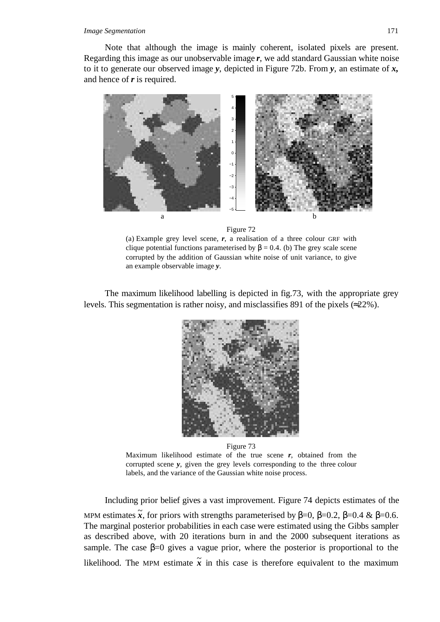#### *Image Segmentation* 171

Note that although the image is mainly coherent, isolated pixels are present. Regarding this image as our unobservable image *r*, we add standard Gaussian white noise to it to generate our observed image *y*, depicted in Figure 72b. From *y*, an estimate of *x,* and hence of *r* is required.





(a) Example grey level scene, *r*, a realisation of a three colour GRF with clique potential functions parameterised by  $\beta = 0.4$ . (b) The grey scale scene corrupted by the addition of Gaussian white noise of unit variance, to give an example observable image *y*.

The maximum likelihood labelling is depicted in fig.73, with the appropriate grey levels. This segmentation is rather noisy, and misclassifies 891 of the pixels (≈22%).



Figure 73 Maximum likelihood estimate of the true scene *r*, obtained from the corrupted scene *y*, given the grey levels corresponding to the three colour labels, and the variance of the Gaussian white noise process.

Including prior belief gives a vast improvement. Figure 74 depicts estimates of the MPM estimates  $\tilde{x}$ , for priors with strengths parameterised by  $\beta=0$ ,  $\beta=0.2$ ,  $\beta=0.4$  &  $\beta=0.6$ . The marginal posterior probabilities in each case were estimated using the Gibbs sampler as described above, with 20 iterations burn in and the 2000 subsequent iterations as sample. The case  $\beta=0$  gives a vague prior, where the posterior is proportional to the likelihood. The MPM estimate  $\tilde{x}$  in this case is therefore equivalent to the maximum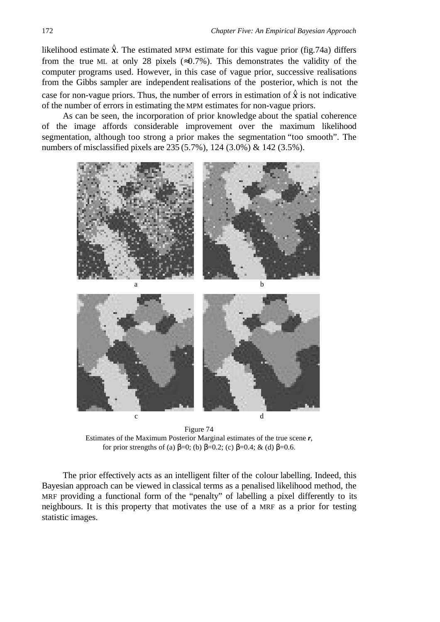likelihood estimate  $\hat{x}$ . The estimated MPM estimate for this vague prior (fig.74a) differs from the true ML at only 28 pixels ( $\approx 0.7\%$ ). This demonstrates the validity of the computer programs used. However, in this case of vague prior, successive realisations from the Gibbs sampler are independent realisations of the posterior, which is not the case for non-vague priors. Thus, the number of errors in estimation of  $\hat{x}$  is not indicative of the number of errors in estimating the MPM estimates for non-vague priors.

As can be seen, the incorporation of prior knowledge about the spatial coherence of the image affords considerable improvement over the maximum likelihood segmentation, although too strong a prior makes the segmentation "too smooth". The numbers of misclassified pixels are 235 (5.7%), 124 (3.0%) & 142 (3.5%).



Figure 74 Estimates of the Maximum Posterior Marginal estimates of the true scene *r*, for prior strengths of (a)  $\beta=0$ ; (b)  $\beta=0.2$ ; (c)  $\beta=0.4$ ; & (d)  $\beta=0.6$ .

The prior effectively acts as an intelligent filter of the colour labelling. Indeed, this Bayesian approach can be viewed in classical terms as a penalised likelihood method, the MRF providing a functional form of the "penalty" of labelling a pixel differently to its neighbours. It is this property that motivates the use of a MRF as a prior for testing statistic images.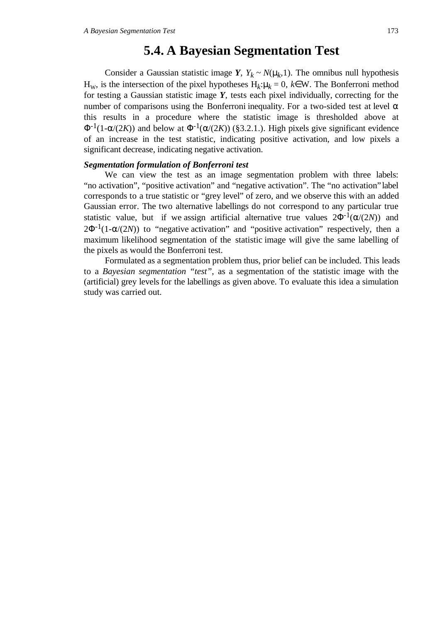## **5.4. A Bayesian Segmentation Test**

Consider a Gaussian statistic image *Y*,  $Y_k \sim N(\mu_k, 1)$ . The omnibus null hypothesis H<sub>W</sub>, is the intersection of the pixel hypotheses H<sub>k</sub>:µ<sub>*k*</sub> = 0, *k*∈W. The Bonferroni method for testing a Gaussian statistic image *Y*, tests each pixel individually, correcting for the number of comparisons using the Bonferroni inequality. For a two-sided test at level  $\alpha$ this results in a procedure where the statistic image is thresholded above at  $\Phi^{-1}(1-\alpha/(2K))$  and below at  $\Phi^{-1}(\alpha/(2K))$  (§3.2.1.). High pixels give significant evidence of an increase in the test statistic, indicating positive activation, and low pixels a significant decrease, indicating negative activation.

### *Segmentation formulation of Bonferroni test*

We can view the test as an image segmentation problem with three labels: "no activation", "positive activation" and "negative activation". The "no activation" label corresponds to a true statistic or "grey level" of zero, and we observe this with an added Gaussian error. The two alternative labellings do not correspond to any particular true statistic value, but if we assign artificial alternative true values  $2\Phi^{-1}(\alpha/(2N))$  and  $2\Phi^{-1}(1-\alpha/(2N))$  to "negative activation" and "positive activation" respectively, then a maximum likelihood segmentation of the statistic image will give the same labelling of the pixels as would the Bonferroni test.

Formulated as a segmentation problem thus, prior belief can be included. This leads to a *Bayesian segmentation "test"*, as a segmentation of the statistic image with the (artificial) grey levels for the labellings as given above. To evaluate this idea a simulation study was carried out.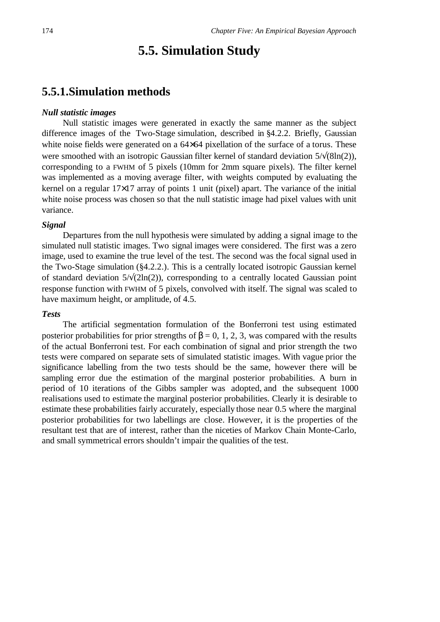## **5.5. Simulation Study**

## **5.5.1.Simulation methods**

## *Null statistic images*

Null statistic images were generated in exactly the same manner as the subject difference images of the Two-Stage simulation, described in §4.2.2. Briefly, Gaussian white noise fields were generated on a  $64\times64$  pixellation of the surface of a torus. These were smoothed with an isotropic Gaussian filter kernel of standard deviation 5/√(8ln(2)), corresponding to a FWHM of 5 pixels (10mm for 2mm square pixels). The filter kernel was implemented as a moving average filter, with weights computed by evaluating the kernel on a regular 17×17 array of points 1 unit (pixel) apart. The variance of the initial white noise process was chosen so that the null statistic image had pixel values with unit variance.

## *Signal*

Departures from the null hypothesis were simulated by adding a signal image to the simulated null statistic images. Two signal images were considered. The first was a zero image, used to examine the true level of the test. The second was the focal signal used in the Two-Stage simulation (§4.2.2.). This is a centrally located isotropic Gaussian kernel of standard deviation  $5/\sqrt{2\ln(2)}$ , corresponding to a centrally located Gaussian point response function with FWHM of 5 pixels, convolved with itself. The signal was scaled to have maximum height, or amplitude, of 4.5.

## *Tests*

The artificial segmentation formulation of the Bonferroni test using estimated posterior probabilities for prior strengths of  $\beta = 0, 1, 2, 3$ , was compared with the results of the actual Bonferroni test. For each combination of signal and prior strength the two tests were compared on separate sets of simulated statistic images. With vague prior the significance labelling from the two tests should be the same, however there will be sampling error due the estimation of the marginal posterior probabilities. A burn in period of 10 iterations of the Gibbs sampler was adopted, and the subsequent 1000 realisations used to estimate the marginal posterior probabilities. Clearly it is desirable to estimate these probabilities fairly accurately, especially those near 0.5 where the marginal posterior probabilities for two labellings are close. However, it is the properties of the resultant test that are of interest, rather than the niceties of Markov Chain Monte-Carlo, and small symmetrical errors shouldn't impair the qualities of the test.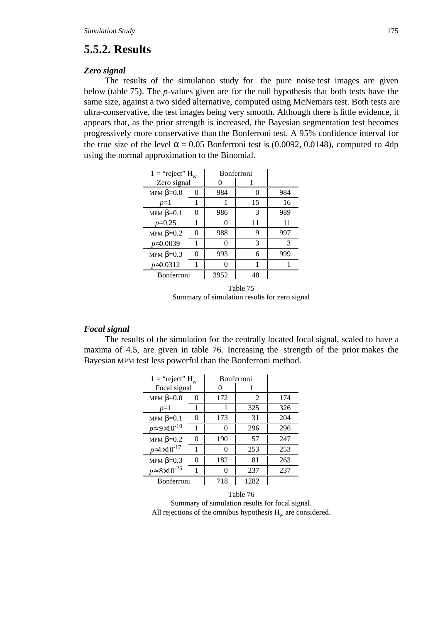## **5.5.2. Results**

#### *Zero signal*

The results of the simulation study for the pure noise test images are given below (table 75). The *p*-values given are for the null hypothesis that both tests have the same size, against a two sided alternative, computed using McNemars test. Both tests are ultra-conservative, the test images being very smooth. Although there is little evidence, it appears that, as the prior strength is increased, the Bayesian segmentation test becomes progressively more conservative than the Bonferroni test. A 95% confidence interval for the true size of the level  $\alpha = 0.05$  Bonferroni test is (0.0092, 0.0148), computed to 4dp using the normal approximation to the Binomial.

| $1 =$ "reject" $H_w$ |   | <b>Bonferroni</b> |                   |     |
|----------------------|---|-------------------|-------------------|-----|
| Zero signal          |   |                   |                   |     |
| MPM $\beta=0.0$      | 0 | 984               | $\mathbf{\Omega}$ | 984 |
| $p=1$                |   |                   | 15                | 16  |
| MPM $\beta=0.1$      | 0 | 986               | 3                 | 989 |
| $p=0.25$             |   |                   | 11                | 11  |
| MPM $\beta=0.2$      | 0 | 988               | 9                 | 997 |
| $p \approx 0.0039$   | 1 |                   | 3                 | 3   |
| MPM $\beta=0.3$      |   | 993               | 6                 | 999 |
| $p \approx 0.0312$   | 1 |                   |                   |     |
| Bonferroni           |   | 3952              | 48                |     |
|                      |   |                   |                   |     |

Table 75 Summary of simulation results for zero signal

## *Focal signal*

The results of the simulation for the centrally located focal signal, scaled to have a maxima of 4.5, are given in table 76. Increasing the strength of the prior makes the Bayesian MPM test less powerful than the Bonferroni method.

| $1 =$ "reject" $H_w$          |   | <b>Bonferroni</b> |      |     |
|-------------------------------|---|-------------------|------|-----|
| Focal signal                  |   |                   |      |     |
| MPM $\beta=0.0$               | 0 | 172               | 2    | 174 |
| $p=1$                         |   |                   | 325  | 326 |
| MPM $\beta=0.1$               | 0 | 173               | 31   | 204 |
| $p \approx 9 \times 10^{-10}$ | 1 | 0                 | 296  | 296 |
| MPM $\beta=0.2$               | 0 | 190               | 57   | 247 |
| $p \approx 1 \times 10^{-17}$ |   | $\mathbf{0}$      | 253  | 253 |
| MPM $\beta=0.3$               | 0 | 182               | 81   | 263 |
| $p \approx 8 \times 10^{-25}$ |   | 0                 | 237  | 237 |
| <b>Bonferroni</b>             |   | 718               | 1282 |     |

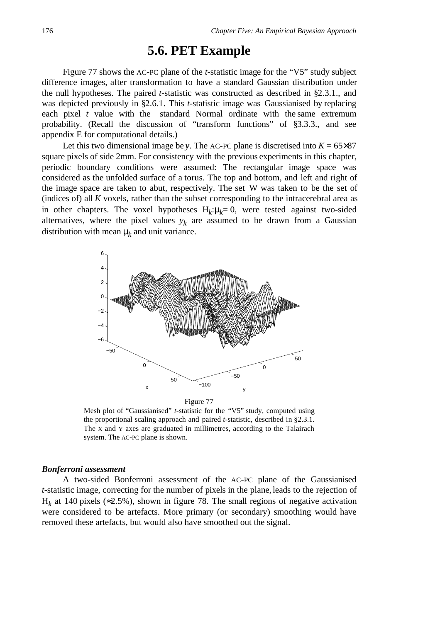## **5.6. PET Example**

Figure 77 shows the AC-PC plane of the *t*-statistic image for the "V5" study subject difference images, after transformation to have a standard Gaussian distribution under the null hypotheses. The paired *t*-statistic was constructed as described in §2.3.1., and was depicted previously in §2.6.1. This *t*-statistic image was Gaussianised by replacing each pixel *t* value with the standard Normal ordinate with the same extremum probability. (Recall the discussion of "transform functions" of §3.3.3., and see appendix E for computational details.)

Let this two dimensional image be *y*. The AC-PC plane is discretised into  $K = 65 \times 87$ square pixels of side 2mm. For consistency with the previous experiments in this chapter, periodic boundary conditions were assumed: The rectangular image space was considered as the unfolded surface of a torus. The top and bottom, and left and right of the image space are taken to abut, respectively. The set W was taken to be the set of (indices of) all *K* voxels, rather than the subset corresponding to the intracerebral area as in other chapters. The voxel hypotheses  $H_k: \mu_k = 0$ , were tested against two-sided alternatives, where the pixel values  $y_k$  are assumed to be drawn from a Gaussian distribution with mean  $\mu_k$  and unit variance.



Mesh plot of "Gaussianised" *t*-statistic for the "V5" study, computed using the proportional scaling approach and paired *t*-statistic, described in §2.3.1. The X and Y axes are graduated in millimetres, according to the Talairach system. The AC-PC plane is shown.

### *Bonferroni assessment*

A two-sided Bonferroni assessment of the AC-PC plane of the Gaussianised *t*-statistic image, correcting for the number of pixels in the plane, leads to the rejection of  $H_k$  at 140 pixels ( $\approx$ 2.5%), shown in figure 78. The small regions of negative activation were considered to be artefacts. More primary (or secondary) smoothing would have removed these artefacts, but would also have smoothed out the signal.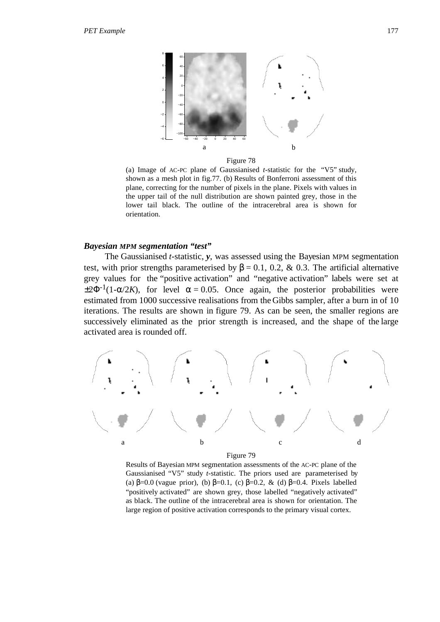

Figure 78

(a) Image of AC-PC plane of Gaussianised *t*-statistic for the "V5" study, shown as a mesh plot in fig.77. (b) Results of Bonferroni assessment of this plane, correcting for the number of pixels in the plane. Pixels with values in the upper tail of the null distribution are shown painted grey, those in the lower tail black. The outline of the intracerebral area is shown for orientation.

#### *Bayesian MPM segmentation "test"*

The Gaussianised *t*-statistic, *y*, was assessed using the Bayesian MPM segmentation test, with prior strengths parameterised by  $\beta = 0.1, 0.2, \& 0.3$ . The artificial alternative grey values for the "positive activation" and "negative activation" labels were set at  $\pm 2\Phi^{-1}(1-\alpha/2K)$ , for level  $\alpha = 0.05$ . Once again, the posterior probabilities were estimated from 1000 successive realisations from the Gibbs sampler, after a burn in of 10 iterations. The results are shown in figure 79. As can be seen, the smaller regions are successively eliminated as the prior strength is increased, and the shape of the large activated area is rounded off.



Figure 79

Results of Bayesian MPM segmentation assessments of the AC-PC plane of the Gaussianised "V5" study *t*-statistic. The priors used are parameterised by (a)  $\beta$ =0.0 (vague prior), (b)  $\beta$ =0.1, (c)  $\beta$ =0.2, & (d)  $\beta$ =0.4. Pixels labelled "positively activated" are shown grey, those labelled "negatively activated" as black. The outline of the intracerebral area is shown for orientation. The large region of positive activation corresponds to the primary visual cortex.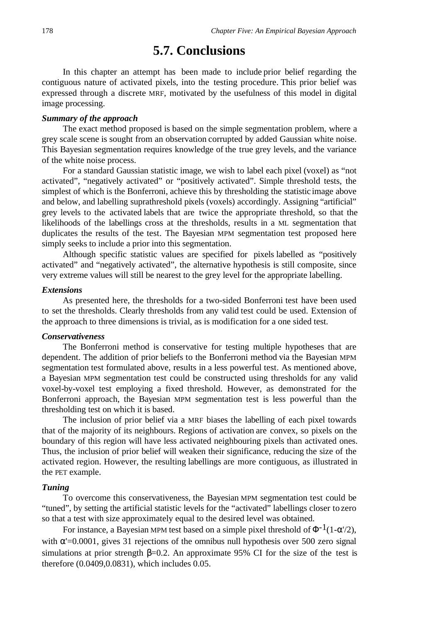## **5.7. Conclusions**

In this chapter an attempt has been made to include prior belief regarding the contiguous nature of activated pixels, into the testing procedure. This prior belief was expressed through a discrete MRF, motivated by the usefulness of this model in digital image processing.

### *Summary of the approach*

The exact method proposed is based on the simple segmentation problem, where a grey scale scene is sought from an observation corrupted by added Gaussian white noise. This Bayesian segmentation requires knowledge of the true grey levels, and the variance of the white noise process.

For a standard Gaussian statistic image, we wish to label each pixel (voxel) as "not activated", "negatively activated" or "positively activated". Simple threshold tests, the simplest of which is the Bonferroni, achieve this by thresholding the statistic image above and below, and labelling suprathreshold pixels (voxels) accordingly. Assigning "artificial" grey levels to the activated labels that are twice the appropriate threshold, so that the likelihoods of the labellings cross at the thresholds, results in a ML segmentation that duplicates the results of the test. The Bayesian MPM segmentation test proposed here simply seeks to include a prior into this segmentation.

Although specific statistic values are specified for pixels labelled as "positively activated" and "negatively activated", the alternative hypothesis is still composite, since very extreme values will still be nearest to the grey level for the appropriate labelling.

## *Extensions*

As presented here, the thresholds for a two-sided Bonferroni test have been used to set the thresholds. Clearly thresholds from any valid test could be used. Extension of the approach to three dimensions is trivial, as is modification for a one sided test.

## *Conservativeness*

The Bonferroni method is conservative for testing multiple hypotheses that are dependent. The addition of prior beliefs to the Bonferroni method via the Bayesian MPM segmentation test formulated above, results in a less powerful test. As mentioned above, a Bayesian MPM segmentation test could be constructed using thresholds for any valid voxel-by-voxel test employing a fixed threshold. However, as demonstrated for the Bonferroni approach, the Bayesian MPM segmentation test is less powerful than the thresholding test on which it is based.

The inclusion of prior belief via a MRF biases the labelling of each pixel towards that of the majority of its neighbours. Regions of activation are convex, so pixels on the boundary of this region will have less activated neighbouring pixels than activated ones. Thus, the inclusion of prior belief will weaken their significance, reducing the size of the activated region. However, the resulting labellings are more contiguous, as illustrated in the PET example.

#### *Tuning*

To overcome this conservativeness, the Bayesian MPM segmentation test could be "tuned", by setting the artificial statistic levels for the "activated" labellings closer to zero so that a test with size approximately equal to the desired level was obtained.

For instance, a Bayesian MPM test based on a simple pixel threshold of  $\Phi^{-1}(1-\alpha/2)$ , with  $\alpha$ '=0.0001, gives 31 rejections of the omnibus null hypothesis over 500 zero signal simulations at prior strength  $\beta = 0.2$ . An approximate 95% CI for the size of the test is therefore (0.0409,0.0831), which includes 0.05.